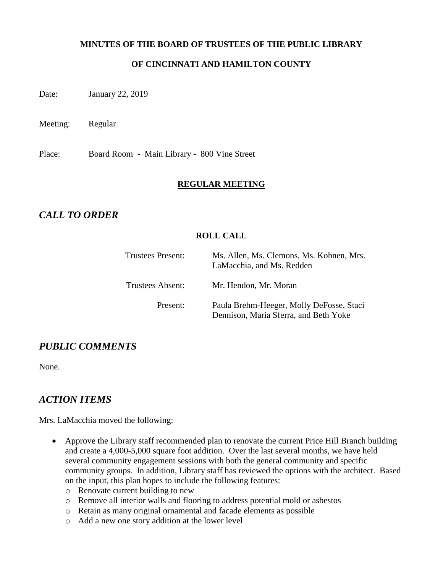#### **MINUTES OF THE BOARD OF TRUSTEES OF THE PUBLIC LIBRARY**

### **OF CINCINNATI AND HAMILTON COUNTY**

Date: January 22, 2019

Meeting: Regular

Place: Board Room - Main Library - 800 Vine Street

#### **REGULAR MEETING**

# *CALL TO ORDER*

### **ROLL CALL**

| <b>Trustees Present:</b> | Ms. Allen, Ms. Clemons, Ms. Kohnen, Mrs.<br>LaMacchia, and Ms. Redden             |  |
|--------------------------|-----------------------------------------------------------------------------------|--|
| Trustees Absent:         | Mr. Hendon, Mr. Moran                                                             |  |
| Present:                 | Paula Brehm-Heeger, Molly DeFosse, Staci<br>Dennison, Maria Sferra, and Beth Yoke |  |

## *PUBLIC COMMENTS*

None.

## *ACTION ITEMS*

Mrs. LaMacchia moved the following:

- Approve the Library staff recommended plan to renovate the current Price Hill Branch building and create a 4,000-5,000 square foot addition. Over the last several months, we have held several community engagement sessions with both the general community and specific community groups. In addition, Library staff has reviewed the options with the architect. Based on the input, this plan hopes to include the following features:
	- o Renovate current building to new
	- o Remove all interior walls and flooring to address potential mold or asbestos
	- o Retain as many original ornamental and facade elements as possible
	- o Add a new one story addition at the lower level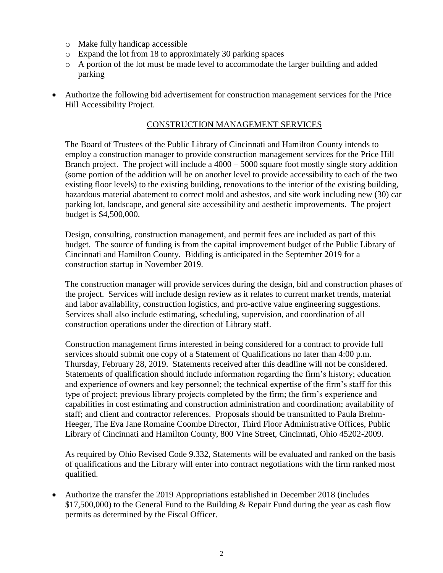- o Make fully handicap accessible
- o Expand the lot from 18 to approximately 30 parking spaces
- o A portion of the lot must be made level to accommodate the larger building and added parking
- Authorize the following bid advertisement for construction management services for the Price Hill Accessibility Project.

#### CONSTRUCTION MANAGEMENT SERVICES

The Board of Trustees of the Public Library of Cincinnati and Hamilton County intends to employ a construction manager to provide construction management services for the Price Hill Branch project. The project will include a 4000 – 5000 square foot mostly single story addition (some portion of the addition will be on another level to provide accessibility to each of the two existing floor levels) to the existing building, renovations to the interior of the existing building, hazardous material abatement to correct mold and asbestos, and site work including new (30) car parking lot, landscape, and general site accessibility and aesthetic improvements. The project budget is \$4,500,000.

Design, consulting, construction management, and permit fees are included as part of this budget. The source of funding is from the capital improvement budget of the Public Library of Cincinnati and Hamilton County. Bidding is anticipated in the September 2019 for a construction startup in November 2019.

The construction manager will provide services during the design, bid and construction phases of the project. Services will include design review as it relates to current market trends, material and labor availability, construction logistics, and pro-active value engineering suggestions. Services shall also include estimating, scheduling, supervision, and coordination of all construction operations under the direction of Library staff.

Construction management firms interested in being considered for a contract to provide full services should submit one copy of a Statement of Qualifications no later than 4:00 p.m. Thursday, February 28, 2019. Statements received after this deadline will not be considered. Statements of qualification should include information regarding the firm's history; education and experience of owners and key personnel; the technical expertise of the firm's staff for this type of project; previous library projects completed by the firm; the firm's experience and capabilities in cost estimating and construction administration and coordination; availability of staff; and client and contractor references. Proposals should be transmitted to Paula Brehm-Heeger, The Eva Jane Romaine Coombe Director, Third Floor Administrative Offices, Public Library of Cincinnati and Hamilton County, 800 Vine Street, Cincinnati, Ohio 45202-2009.

As required by Ohio Revised Code 9.332, Statements will be evaluated and ranked on the basis of qualifications and the Library will enter into contract negotiations with the firm ranked most qualified.

 Authorize the transfer the 2019 Appropriations established in December 2018 (includes \$17,500,000) to the General Fund to the Building & Repair Fund during the year as cash flow permits as determined by the Fiscal Officer.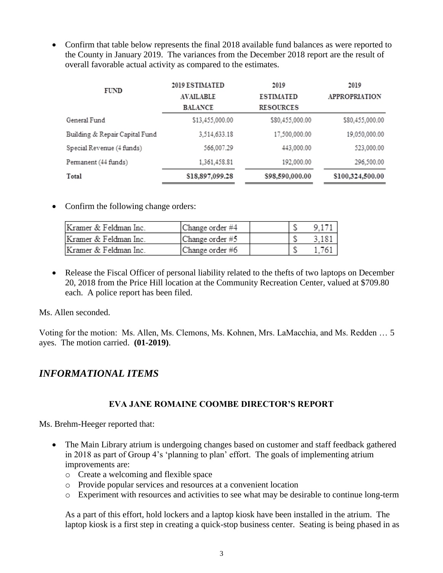• Confirm that table below represents the final 2018 available fund balances as were reported to the County in January 2019. The variances from the December 2018 report are the result of overall favorable actual activity as compared to the estimates.

| FUND                           | 2019 ESTIMATED   | 2019             | 2019                 |  |
|--------------------------------|------------------|------------------|----------------------|--|
|                                | <b>AVAILABLE</b> | <b>ESTIMATED</b> | <b>APPROPRIATION</b> |  |
|                                | <b>BALANCE</b>   | <b>RESOURCES</b> |                      |  |
| General Fund                   | \$13,455,000.00  | \$80,455,000.00  | \$80,455,000.00      |  |
| Building & Repair Capital Fund | 3,514,633.18     | 17,500,000.00    | 19,050,000.00        |  |
| Special Revenue (4 funds)      | 566.007.29       | 443.000.00       | 523,000.00           |  |
| Permanent (44 funds)           | 1,361,458.81     | 192.000.00       | 296.500.00           |  |
| Total                          | \$18,897,099.28  | \$98,590,000.00  | \$100,324,500.00     |  |

• Confirm the following change orders:

| Kramer & Feldman Inc. | Change order #4 |  |  |
|-----------------------|-----------------|--|--|
| Kramer & Feldman Inc. | Change order #5 |  |  |
| Kramer & Feldman Inc. | Change order #6 |  |  |

• Release the Fiscal Officer of personal liability related to the thefts of two laptops on December 20, 2018 from the Price Hill location at the Community Recreation Center, valued at \$709.80 each. A police report has been filed.

Ms. Allen seconded.

Voting for the motion: Ms. Allen, Ms. Clemons, Ms. Kohnen, Mrs. LaMacchia, and Ms. Redden … 5 ayes. The motion carried. **(01-2019)**.

## *INFORMATIONAL ITEMS*

### **EVA JANE ROMAINE COOMBE DIRECTOR'S REPORT**

Ms. Brehm-Heeger reported that:

- The Main Library atrium is undergoing changes based on customer and staff feedback gathered in 2018 as part of Group 4's 'planning to plan' effort. The goals of implementing atrium improvements are:
	- o Create a welcoming and flexible space
	- o Provide popular services and resources at a convenient location
	- o Experiment with resources and activities to see what may be desirable to continue long-term

As a part of this effort, hold lockers and a laptop kiosk have been installed in the atrium. The laptop kiosk is a first step in creating a quick-stop business center. Seating is being phased in as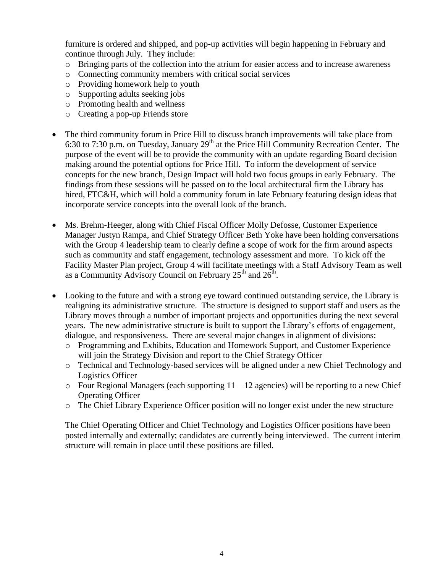furniture is ordered and shipped, and pop-up activities will begin happening in February and continue through July. They include:

- o Bringing parts of the collection into the atrium for easier access and to increase awareness
- o Connecting community members with critical social services
- o Providing homework help to youth
- o Supporting adults seeking jobs
- o Promoting health and wellness
- o Creating a pop-up Friends store
- The third community forum in Price Hill to discuss branch improvements will take place from 6:30 to 7:30 p.m. on Tuesday, January  $29<sup>th</sup>$  at the Price Hill Community Recreation Center. The purpose of the event will be to provide the community with an update regarding Board decision making around the potential options for Price Hill. To inform the development of service concepts for the new branch, Design Impact will hold two focus groups in early February. The findings from these sessions will be passed on to the local architectural firm the Library has hired, FTC&H, which will hold a community forum in late February featuring design ideas that incorporate service concepts into the overall look of the branch.
- Ms. Brehm-Heeger, along with Chief Fiscal Officer Molly Defosse, Customer Experience Manager Justyn Rampa, and Chief Strategy Officer Beth Yoke have been holding conversations with the Group 4 leadership team to clearly define a scope of work for the firm around aspects such as community and staff engagement, technology assessment and more. To kick off the Facility Master Plan project, Group 4 will facilitate meetings with a Staff Advisory Team as well as a Community Advisory Council on February  $25<sup>th</sup>$  and  $26<sup>th</sup>$ .
- Looking to the future and with a strong eye toward continued outstanding service, the Library is realigning its administrative structure. The structure is designed to support staff and users as the Library moves through a number of important projects and opportunities during the next several years. The new administrative structure is built to support the Library's efforts of engagement, dialogue, and responsiveness. There are several major changes in alignment of divisions:
	- o Programming and Exhibits, Education and Homework Support, and Customer Experience will join the Strategy Division and report to the Chief Strategy Officer
	- o Technical and Technology-based services will be aligned under a new Chief Technology and Logistics Officer
	- $\circ$  Four Regional Managers (each supporting 11 12 agencies) will be reporting to a new Chief Operating Officer
	- o The Chief Library Experience Officer position will no longer exist under the new structure

The Chief Operating Officer and Chief Technology and Logistics Officer positions have been posted internally and externally; candidates are currently being interviewed. The current interim structure will remain in place until these positions are filled.